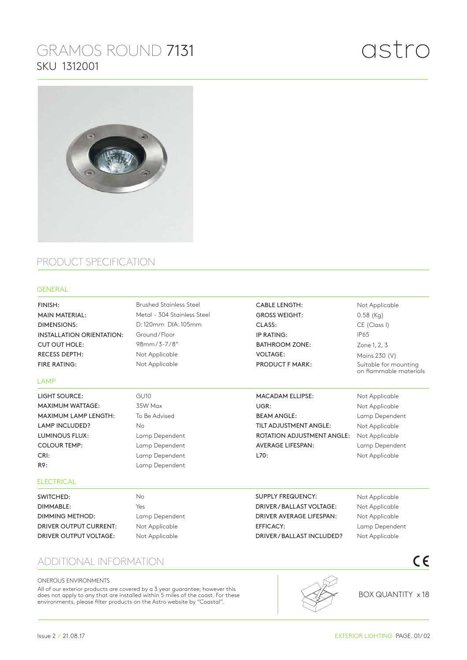# GRAMOS ROUND 7131 SKU 1312001



## PRODUCT SPECIFICATION

#### GENERAL

GU10 35W Max To Be Advised No Lamp Dependent Lamp Dependent Lamp Dependent Lamp Dependent No Brushed Stainless Steel Metal - 304 Stainless Steel D: 120mm DIA: 105mm Ground / Floor 98mm / 3-7 / 8" Not Applicable Not Applicable FINISH: MAIN MATERIAL: DIMENSIONS: INSTALLATION ORIENTATION: CUT OUT HOLE: RECESS DEPTH: FIRE RATING: CABLE LENGTH: GROSS WEIGHT: CLASS: IP RATING: BATHROOM ZONE: VOLTAGE: PRODUCT F MARK: LIGHT SOURCE: MAXIMUM WATTAGE: MAXIMUM LAMP LENGTH: LAMP INCLUDED? LUMINOUS FLUX: COLOUR TEMP: CRI: R9: MACADAM ELLIPSE: UGR: BEAM ANGLE: TILT ADJUSTMENT ANGLE: ROTATION ADJUSTMENT ANGLE: AVERAGE LIFESPAN: L70: SWITCHED: SUPPLY FREQUENCY: DRIVER / BALLAST VOLTAGE: LAMP **ELECTRICAL** 

DIMMABLE: DIMMING METHOD: DRIVER OUTPUT CURRENT: DRIVER OUTPUT VOLTAGE:

Yes Lamp Dependent Not Applicable Not Applicable

### ADDITIONAL INFORMATION

#### ONEROUS ENVIRONMENTS

All of our exterior products are covered by a 3 year guarantee; however this does not apply to any that are installed within 5 miles of the coast. For these environments, please filter products on the Astro website by "Coastal".



DRIVER AVERAGE LIFESPAN:

DRIVER / BALLAST INCLUDED?

EFFICACY:

BOX QUANTITY x 18

 $C \in$ 

### Not Applicable 0.58 (Kg) CE (Class I) IP65 Zone 1, 2, 3 Mains 230 (V) Suitable for mounting on flammable materials

Not Applicable Not Applicable Lamp Dependent Not Applicable Not Applicable Lamp Dependent Not Applicable

> Not Applicable Not Applicable Not Applicable Lamp Dependent Not Applicable